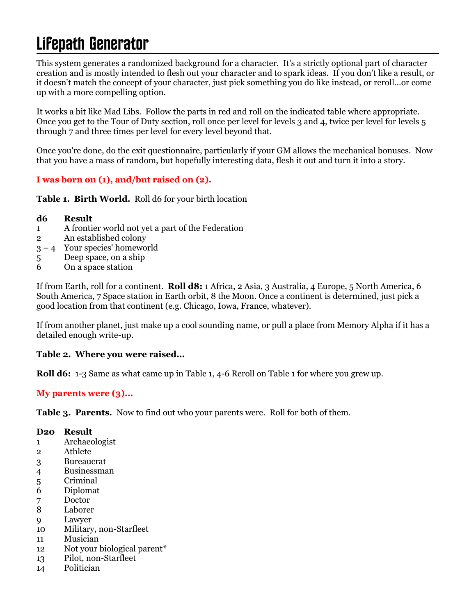# Lifepath Generator

This system generates a randomized background for a character. It's a strictly optional part of character creation and is mostly intended to flesh out your character and to spark ideas. If you don't like a result, or it doesn't match the concept of your character, just pick something you do like instead, or reroll...or come up with a more compelling option.

It works a bit like Mad Libs. Follow the parts in red and roll on the indicated table where appropriate. Once you get to the Tour of Duty section, roll once per level for levels 3 and 4, twice per level for levels 5 through 7 and three times per level for every level beyond that.

Once you're done, do the exit questionnaire, particularly if your GM allows the mechanical bonuses. Now that you have a mass of random, but hopefully interesting data, flesh it out and turn it into a story.

# **I was born on (1), and/but raised on (2).**

**Table 1. Birth World.** Roll d6 for your birth location

#### **d6 Result**

- 1 A frontier world not yet a part of the Federation
- 2 An established colony
- $3 4$  Your species' homeworld
- 5 Deep space, on a ship
- 6 On a space station

If from Earth, roll for a continent. **Roll d8:** 1 Africa, 2 Asia, 3 Australia, 4 Europe, 5 North America, 6 South America, 7 Space station in Earth orbit, 8 the Moon. Once a continent is determined, just pick a good location from that continent (e.g. Chicago, Iowa, France, whatever).

If from another planet, just make up a cool sounding name, or pull a place from Memory Alpha if it has a detailed enough write-up.

## **Table 2. Where you were raised...**

**Roll d6:** 1-3 Same as what came up in Table 1, 4-6 Reroll on Table 1 for where you grew up.

## **My parents were (3)...**

**Table 3. Parents.** Now to find out who your parents were. Roll for both of them.

## **D20 Result**

- 1 Archaeologist
- 2 Athlete
- 3 Bureaucrat
- 4 Businessman
- 5 Criminal
- 6 Diplomat
- 7 Doctor
- 8 Laborer
- 9 Lawyer
- 10 Military, non-Starfleet
- 11 Musician
- 12 Not your biological parent\*
- 13 Pilot, non-Starfleet
- 14 Politician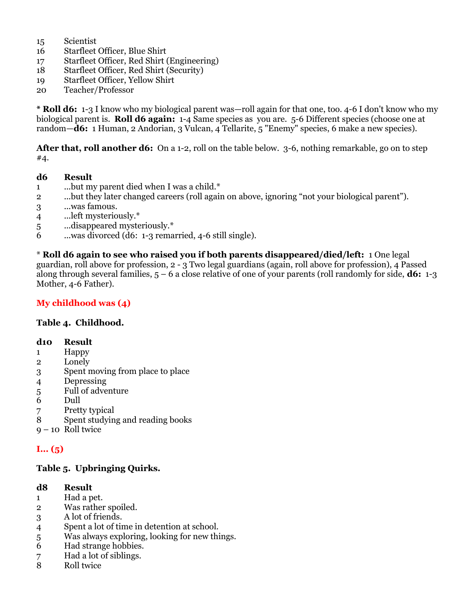- 15 Scientist
- 16 Starfleet Officer, Blue Shirt
- 17 Starfleet Officer, Red Shirt (Engineering)
- 18 Starfleet Officer, Red Shirt (Security)
- 19 Starfleet Officer, Yellow Shirt
- 20 Teacher/Professor

**\* Roll d6:** 1-3 I know who my biological parent was—roll again for that one, too. 4-6 I don't know who my biological parent is. **Roll d6 again:** 1-4 Same species as you are. 5-6 Different species (choose one at random—**d6:** 1 Human, 2 Andorian, 3 Vulcan, 4 Tellarite, 5 "Enemy" species, 6 make a new species).

**After that, roll another d6:** On a 1-2, roll on the table below. 3-6, nothing remarkable, go on to step #4.

#### **d6 Result**

- 1 ...but my parent died when I was a child.\*
- 2 ...but they later changed careers (roll again on above, ignoring "not your biological parent").
- 3 ...was famous.
- 4 ...left mysteriously.\*
- 5 ...disappeared mysteriously.\*
- 6 ...was divorced (d6: 1-3 remarried, 4-6 still single).

\* **Roll d6 again to see who raised you if both parents disappeared/died/left:** 1 One legal guardian, roll above for profession, 2 - 3 Two legal guardians (again, roll above for profession), 4 Passed along through several families, 5 – 6 a close relative of one of your parents (roll randomly for side, **d6:** 1-3 Mother, 4-6 Father).

## **My childhood was (4)**

#### **Table 4. Childhood.**

#### **d10 Result**

- 1 Happy
- 2 Lonely
- 3 Spent moving from place to place
- 4 Depressing
- 5 Full of adventure
- 6 Dull
- 7 Pretty typical
- 8 Spent studying and reading books
- $9 10$  Roll twice

# **I... (5)**

## **Table 5. Upbringing Quirks.**

#### **d8 Result**

- 1 Had a pet.
- 2 Was rather spoiled.
- 3 A lot of friends.
- 4 Spent a lot of time in detention at school.
- 5 Was always exploring, looking for new things.
- 6 Had strange hobbies.
- 7 Had a lot of siblings.<br>8 Roll twice
- 8 Roll twice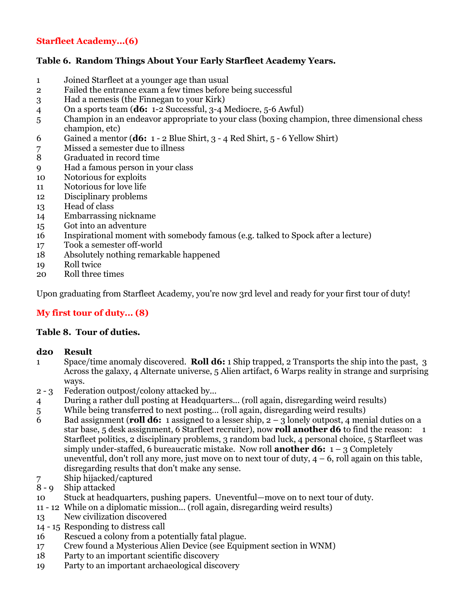## **Starfleet Academy...(6)**

## **Table 6. Random Things About Your Early Starfleet Academy Years.**

- Joined Starfleet at a younger age than usual
- Failed the entrance exam a few times before being successful
- Had a nemesis (the Finnegan to your Kirk)
- On a sports team (**d6:** 1-2 Successful, 3-4 Mediocre, 5-6 Awful)
- Champion in an endeavor appropriate to your class (boxing champion, three dimensional chess champion, etc)
- Gained a mentor (**d6:** 1 2 Blue Shirt, 3 4 Red Shirt, 5 6 Yellow Shirt)
- Missed a semester due to illness
- Graduated in record time
- Had a famous person in your class
- Notorious for exploits
- Notorious for love life
- Disciplinary problems
- Head of class
- Embarrassing nickname
- Got into an adventure
- Inspirational moment with somebody famous (e.g. talked to Spock after a lecture)
- Took a semester off-world
- Absolutely nothing remarkable happened
- Roll twice
- Roll three times

Upon graduating from Starfleet Academy, you're now 3rd level and ready for your first tour of duty!

## **My first tour of duty... (8)**

#### **Table 8. Tour of duties.**

#### **d20 Result**

- Space/time anomaly discovered. **Roll d6:** 1 Ship trapped, 2 Transports the ship into the past, 3 Across the galaxy, 4 Alternate universe, 5 Alien artifact, 6 Warps reality in strange and surprising ways.
- 2 3 Federation outpost/colony attacked by...
- During a rather dull posting at Headquarters... (roll again, disregarding weird results)
- While being transferred to next posting... (roll again, disregarding weird results)
- Bad assignment (**roll d6:** 1 assigned to a lesser ship, 2 3 lonely outpost, 4 menial duties on a star base, 5 desk assignment, 6 Starfleet recruiter), now **roll another d6** to find the reason: 1 Starfleet politics, 2 disciplinary problems, 3 random bad luck, 4 personal choice, 5 Starfleet was simply under-staffed, 6 bureaucratic mistake. Now roll **another d6:** 1 – 3 Completely uneventful, don't roll any more, just move on to next tour of duty,  $4 - 6$ , roll again on this table, disregarding results that don't make any sense.
- Ship hijacked/captured
- 8 9 Ship attacked
- Stuck at headquarters, pushing papers. Uneventful—move on to next tour of duty.
- 11 12 While on a diplomatic mission... (roll again, disregarding weird results)
- New civilization discovered
- 14 15 Responding to distress call
- Rescued a colony from a potentially fatal plague.
- Crew found a Mysterious Alien Device (see Equipment section in WNM)
- Party to an important scientific discovery
- Party to an important archaeological discovery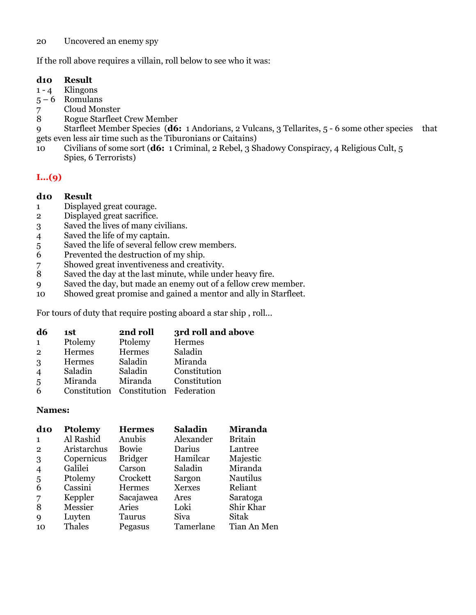#### Uncovered an enemy spy

If the roll above requires a villain, roll below to see who it was:

#### **d10 Result**

- 1 4 Klingons<br>5 6 Romulans
- 5 6 Romulans
- Cloud Monster
- Rogue Starfleet Crew Member

 Starfleet Member Species (**d6:** 1 Andorians, 2 Vulcans, 3 Tellarites, 5 - 6 some other species that gets even less air time such as the Tiburonians or Caitains)

 Civilians of some sort (**d6:** 1 Criminal, 2 Rebel, 3 Shadowy Conspiracy, 4 Religious Cult, 5 Spies, 6 Terrorists)

# **I...(9)**

#### **d10 Result**

- Displayed great courage.
- Displayed great sacrifice.
- Saved the lives of many civilians.
- Saved the life of my captain.
- Saved the life of several fellow crew members.
- Prevented the destruction of my ship.
- 7 Showed great inventiveness and creativity.<br>8 Saved the day at the last minute, while und
- Saved the day at the last minute, while under heavy fire.
- Saved the day, but made an enemy out of a fellow crew member.
- Showed great promise and gained a mentor and ally in Starfleet.

For tours of duty that require posting aboard a star ship , roll...

| d6             | 1st     | 2nd roll                             | 3rd roll and above |
|----------------|---------|--------------------------------------|--------------------|
| $\mathbf{1}$   | Ptolemy | Ptolemy                              | Hermes             |
| $\overline{2}$ | Hermes  | Hermes                               | Saladin            |
| 3              | Hermes  | Saladin                              | Miranda            |
| $\overline{4}$ | Saladin | Saladin                              | Constitution       |
| 5              | Miranda | Miranda                              | Constitution       |
| 6              |         | Constitution Constitution Federation |                    |
|                |         |                                      |                    |

#### **Names:**

| $\bf{d}$ 10    | Ptolemy     | <b>Hermes</b>  | <b>Saladin</b> | <b>Miranda</b>  |
|----------------|-------------|----------------|----------------|-----------------|
| 1              | Al Rashid   | Anubis         | Alexander      | <b>Britain</b>  |
| $\overline{2}$ | Aristarchus | Bowie          | Darius         | Lantree         |
| 3              | Copernicus  | <b>Bridger</b> | Hamilcar       | Majestic        |
| $\overline{4}$ | Galilei     | Carson         | Saladin        | Miranda         |
| 5              | Ptolemy     | Crockett       | Sargon         | <b>Nautilus</b> |
| 6              | Cassini     | Hermes         | <b>Xerxes</b>  | Reliant         |
| 7              | Keppler     | Sacajawea      | Ares           | Saratoga        |
| 8              | Messier     | Aries          | Loki           | Shir Khar       |
| 9              | Luyten      | Taurus         | Siva           | Sitak           |
| 10             | Thales      | Pegasus        | Tamerlane      | Tian An Men     |